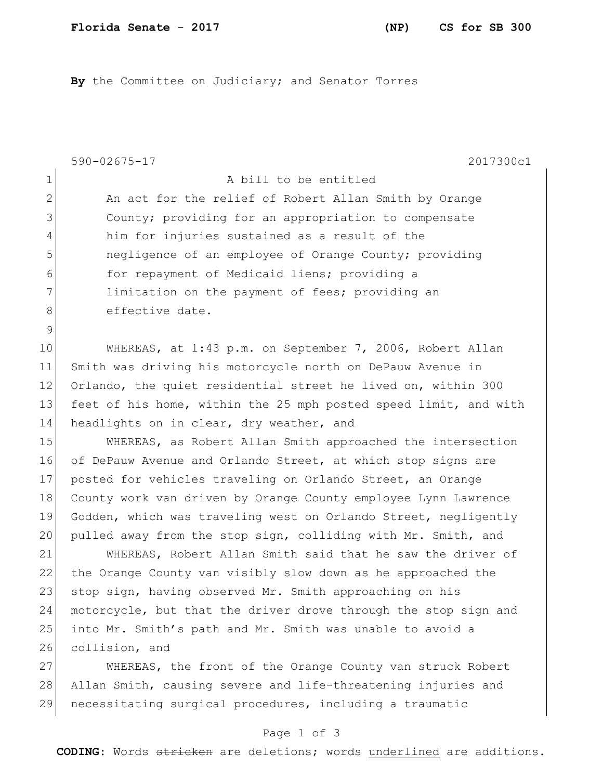**By** the Committee on Judiciary; and Senator Torres

590-02675-17 2017300c1 Page 1 of 3 1 a bill to be entitled 2 An act for the relief of Robert Allan Smith by Orange 3 County; providing for an appropriation to compensate 4 him for injuries sustained as a result of the 5 5 100 negligence of an employee of Orange County; providing 6 for repayment of Medicaid liens; providing a 7 limitation on the payment of fees; providing an 8 effective date. 9 10 WHEREAS, at 1:43 p.m. on September 7, 2006, Robert Allan 11 Smith was driving his motorcycle north on DePauw Avenue in 12 Orlando, the quiet residential street he lived on, within 300 13 feet of his home, within the 25 mph posted speed limit, and with 14 headlights on in clear, dry weather, and 15 WHEREAS, as Robert Allan Smith approached the intersection 16 of DePauw Avenue and Orlando Street, at which stop signs are 17 posted for vehicles traveling on Orlando Street, an Orange 18 County work van driven by Orange County employee Lynn Lawrence 19 Godden, which was traveling west on Orlando Street, negligently 20 pulled away from the stop sign, colliding with Mr. Smith, and 21 WHEREAS, Robert Allan Smith said that he saw the driver of 22 the Orange County van visibly slow down as he approached the 23 stop sign, having observed Mr. Smith approaching on his 24 motorcycle, but that the driver drove through the stop sign and 25 into Mr. Smith's path and Mr. Smith was unable to avoid a 26 collision, and 27 WHEREAS, the front of the Orange County van struck Robert 28 Allan Smith, causing severe and life-threatening injuries and 29 necessitating surgical procedures, including a traumatic

**CODING**: Words stricken are deletions; words underlined are additions.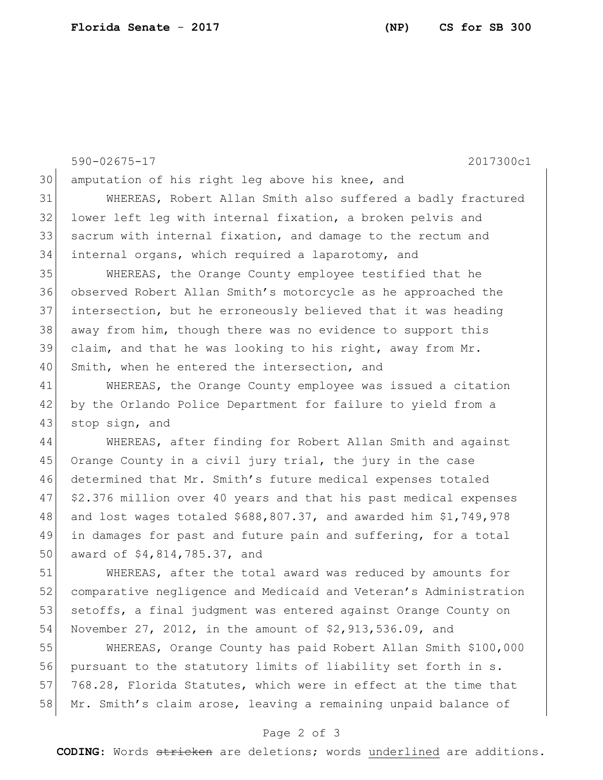590-02675-17 2017300c1 30 amputation of his right leg above his knee, and 31 WHEREAS, Robert Allan Smith also suffered a badly fractured 32 lower left leg with internal fixation, a broken pelvis and 33 sacrum with internal fixation, and damage to the rectum and 34 internal organs, which required a laparotomy, and 35 WHEREAS, the Orange County employee testified that he 36 observed Robert Allan Smith's motorcycle as he approached the 37 intersection, but he erroneously believed that it was heading 38 away from him, though there was no evidence to support this 39 claim, and that he was looking to his right, away from  $Mr$ . 40 Smith, when he entered the intersection, and 41 WHEREAS, the Orange County employee was issued a citation 42 by the Orlando Police Department for failure to yield from a 43 stop sign, and 44 WHEREAS, after finding for Robert Allan Smith and against 45 Orange County in a civil jury trial, the jury in the case 46 determined that Mr. Smith's future medical expenses totaled 47 \$2.376 million over 40 years and that his past medical expenses 48 and lost wages totaled \$688,807.37, and awarded him \$1,749,978 49 in damages for past and future pain and suffering, for a total 50 award of \$4,814,785.37, and 51 WHEREAS, after the total award was reduced by amounts for 52 comparative negligence and Medicaid and Veteran's Administration 53 setoffs, a final judgment was entered against Orange County on 54 November 27, 2012, in the amount of \$2,913,536.09, and 55 WHEREAS, Orange County has paid Robert Allan Smith \$100,000 56 pursuant to the statutory limits of liability set forth in s. 57 768.28, Florida Statutes, which were in effect at the time that 58 Mr. Smith's claim arose, leaving a remaining unpaid balance of

## Page 2 of 3

**CODING**: Words stricken are deletions; words underlined are additions.